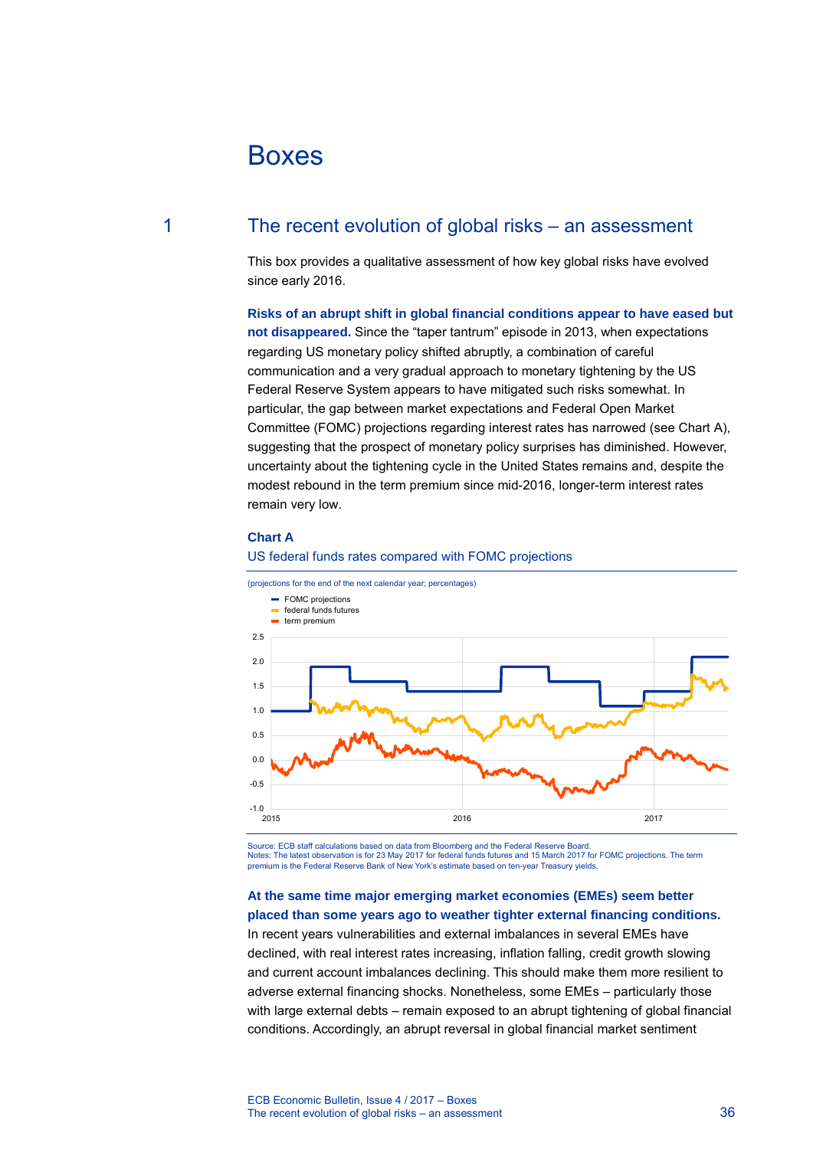# Boxes

# 1 The recent evolution of global risks – an assessment

This box provides a qualitative assessment of how key global risks have evolved since early 2016.

**Risks of an abrupt shift in global financial conditions appear to have eased but not disappeared.** Since the "taper tantrum" episode in 2013, when expectations regarding US monetary policy shifted abruptly, a combination of careful communication and a very gradual approach to monetary tightening by the US Federal Reserve System appears to have mitigated such risks somewhat. In particular, the gap between market expectations and Federal Open Market Committee (FOMC) projections regarding interest rates has narrowed (see Chart A), suggesting that the prospect of monetary policy surprises has diminished. However, uncertainty about the tightening cycle in the United States remains and, despite the modest rebound in the term premium since mid-2016, longer-term interest rates remain very low.

#### **Chart A**

#### US federal funds rates compared with FOMC projections



Source: ECB staff calculations based on data from Bloomberg and the Federal Reserve Board. Notes: The latest observation is for 23 May 2017 for federal funds futures and 15 March 2017 for FOMC projections. The term premium is the Federal Reserve Bank of New York's estimate based on ten-year Treasury yields.

## **At the same time major emerging market economies (EMEs) seem better placed than some years ago to weather tighter external financing conditions.**

In recent years vulnerabilities and external imbalances in several EMEs have declined, with real interest rates increasing, inflation falling, credit growth slowing and current account imbalances declining. This should make them more resilient to adverse external financing shocks. Nonetheless, some EMEs – particularly those with large external debts – remain exposed to an abrupt tightening of global financial conditions. Accordingly, an abrupt reversal in global financial market sentiment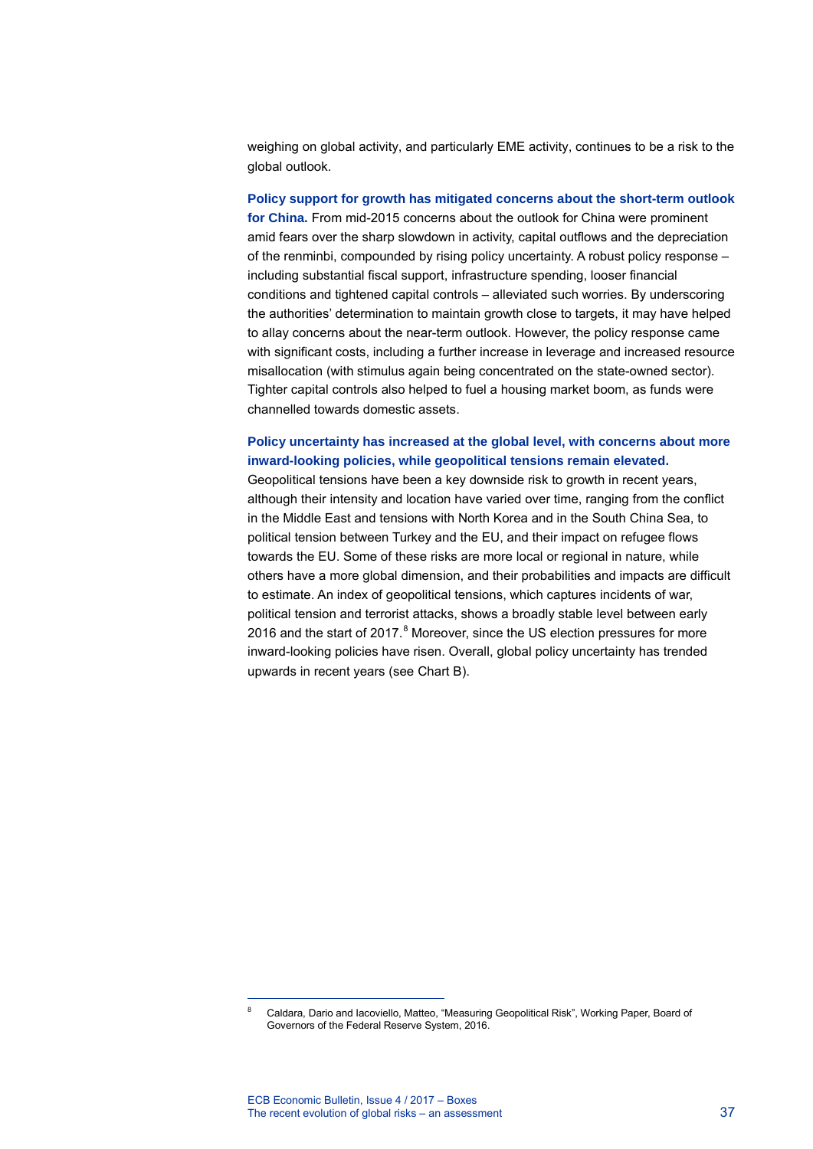weighing on global activity, and particularly EME activity, continues to be a risk to the global outlook.

**Policy support for growth has mitigated concerns about the short-term outlook for China.** From mid-2015 concerns about the outlook for China were prominent amid fears over the sharp slowdown in activity, capital outflows and the depreciation of the renminbi, compounded by rising policy uncertainty. A robust policy response – including substantial fiscal support, infrastructure spending, looser financial conditions and tightened capital controls – alleviated such worries. By underscoring the authorities' determination to maintain growth close to targets, it may have helped to allay concerns about the near-term outlook. However, the policy response came with significant costs, including a further increase in leverage and increased resource misallocation (with stimulus again being concentrated on the state-owned sector). Tighter capital controls also helped to fuel a housing market boom, as funds were channelled towards domestic assets.

## **Policy uncertainty has increased at the global level, with concerns about more inward-looking policies, while geopolitical tensions remain elevated.**

Geopolitical tensions have been a key downside risk to growth in recent years, although their intensity and location have varied over time, ranging from the conflict in the Middle East and tensions with North Korea and in the South China Sea, to political tension between Turkey and the EU, and their impact on refugee flows towards the EU. Some of these risks are more local or regional in nature, while others have a more global dimension, and their probabilities and impacts are difficult to estimate. An index of geopolitical tensions, which captures incidents of war, political tension and terrorist attacks, shows a broadly stable level between early 2016 and the start of  $2017<sup>8</sup>$  $2017<sup>8</sup>$  $2017<sup>8</sup>$  Moreover, since the US election pressures for more inward-looking policies have risen. Overall, global policy uncertainty has trended upwards in recent years (see Chart B).

-

<span id="page-1-0"></span><sup>8</sup> Caldara, Dario and Iacoviello, Matteo, "Measuring Geopolitical Risk", Working Paper, Board of Governors of the Federal Reserve System, 2016.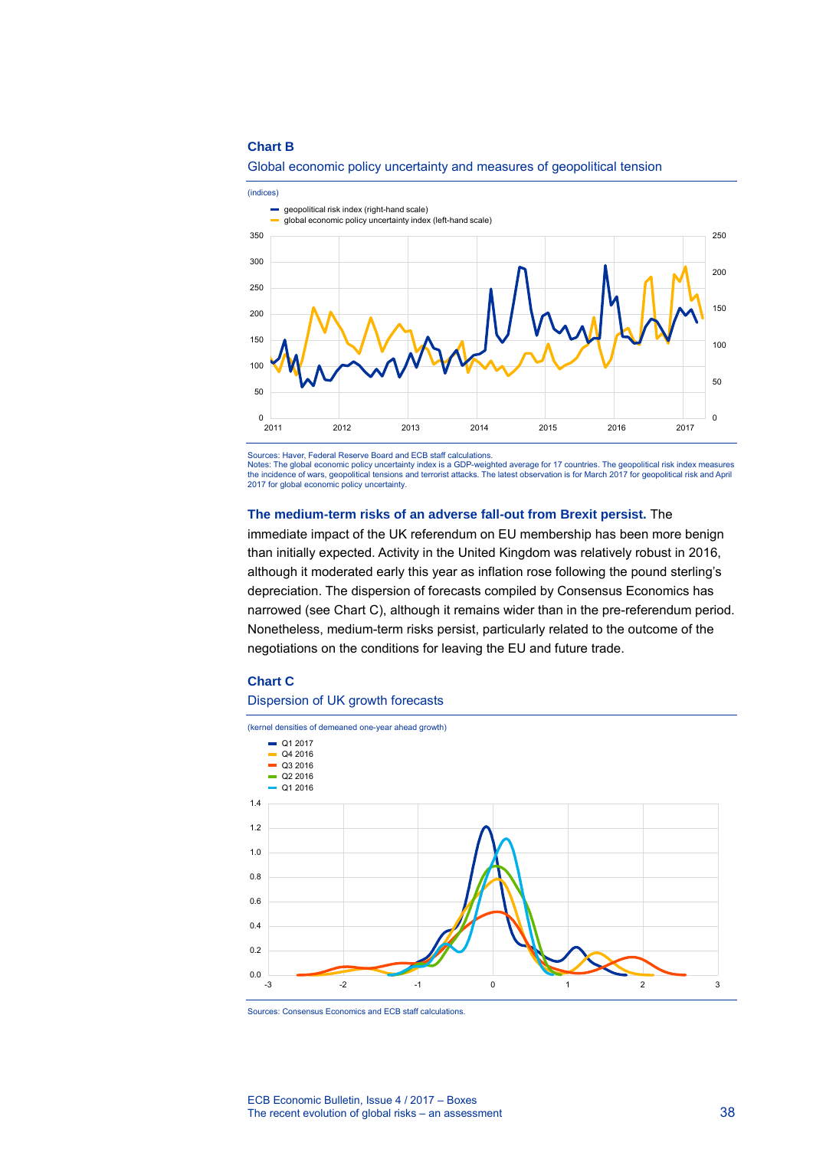#### **Chart B**



## Global economic policy uncertainty and measures of geopolitical tension

Sources: Haver, Federal Reserve Board and ECB staff calculations. Notes: The global economic policy uncertainty index is a GDP-weighted average for 17 countries. The geopolitical risk index measures the incidence of wars, geopolitical tensions and terrorist attacks. The latest observation is for March 2017 for geopolitical risk and April 2017 for global economic policy uncertainty.

#### **The medium-term risks of an adverse fall-out from Brexit persist.** The

immediate impact of the UK referendum on EU membership has been more benign than initially expected. Activity in the United Kingdom was relatively robust in 2016, although it moderated early this year as inflation rose following the pound sterling's depreciation. The dispersion of forecasts compiled by Consensus Economics has narrowed (see Chart C), although it remains wider than in the pre-referendum period. Nonetheless, medium-term risks persist, particularly related to the outcome of the negotiations on the conditions for leaving the EU and future trade.

#### **Chart C**

#### Dispersion of UK growth forecasts



Sources: Consensus Economics and ECB staff calculations.